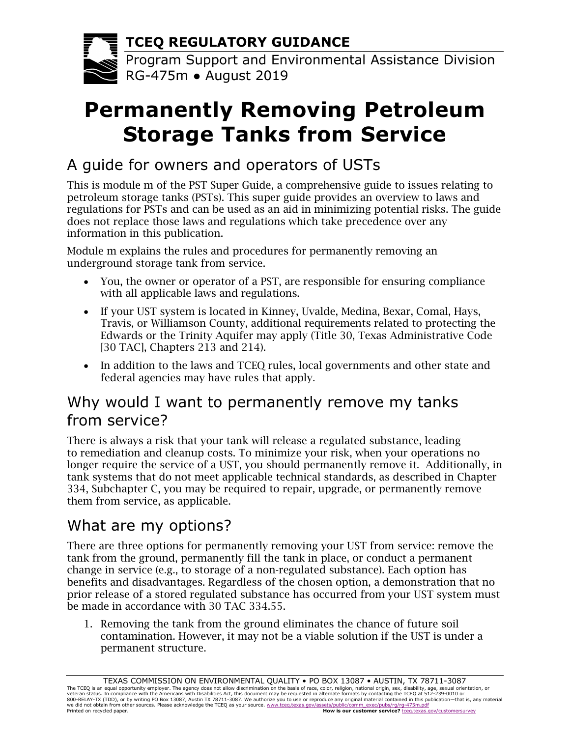**TCEQ REGULATORY GUIDANCE**

Program Support and Environmental Assistance Division RG-475m ● August 2019

# **Permanently Removing Petroleum Storage Tanks from Service**

## A guide for owners and operators of USTs

This is module m of the PST Super Guide, a comprehensive guide to issues relating to petroleum storage tanks (PSTs). This super guide provides an overview to laws and regulations for PSTs and can be used as an aid in minimizing potential risks. The guide does not replace those laws and regulations which take precedence over any information in this publication.

Module m explains the rules and procedures for permanently removing an underground storage tank from service.

- You, the owner or operator of a PST, are responsible for ensuring compliance with all applicable laws and regulations.
- If your UST system is located in Kinney, Uvalde, Medina, Bexar, Comal, Hays, Travis, or Williamson County, additional requirements related to protecting the Edwards or the Trinity Aquifer may apply (Title 30, Texas Administrative Code [30 TAC], Chapters 213 and 214).
- In addition to the laws and TCEQ rules, local governments and other state and federal agencies may have rules that apply.

#### Why would I want to permanently remove my tanks from service?

There is always a risk that your tank will release a regulated substance, leading to remediation and cleanup costs. To minimize your risk, when your operations no longer require the service of a UST, you should permanently remove it. Additionally, in tank systems that do not meet applicable technical standards, as described in Chapter 334, Subchapter C, you may be required to repair, upgrade, or permanently remove them from service, as applicable.

## What are my options?

There are three options for permanently removing your UST from service: remove the tank from the ground, permanently fill the tank in place, or conduct a permanent change in service (e.g., to storage of a non-regulated substance). Each option has benefits and disadvantages. Regardless of the chosen option, a demonstration that no prior release of a stored regulated substance has occurred from your UST system must be made in accordance with 30 TAC 334.55.

1. Removing the tank from the ground eliminates the chance of future soil contamination. However, it may not be a viable solution if the UST is under a permanent structure.

TEXAS COMMISSION ON ENVIRONMENTAL QUALITY • PO BOX 13087 • AUSTIN, TX 78711-3087<br>The TCEQ is an equal opportunity employer. The agency does not allow discrimination on the basis of race, color, religion, national origin, s veteran status. In compliance with the Americans with Disabilities Act, this document may be requested in altemate formats by contacting the TCEQ at 512-239-0010 or<br>800-RELAY-TX (TDD), or by writing PO Box 13087, Austin TX Printed on recycled paper. **How is our customer service?** [tceq.texas.gov/customersurvey](https://www.tceq.texas.gov/customersurvey)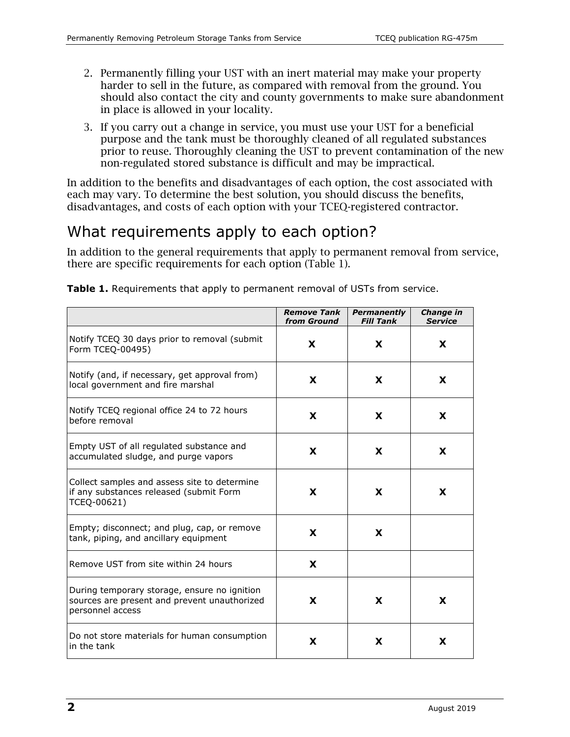- 2. Permanently filling your UST with an inert material may make your property harder to sell in the future, as compared with removal from the ground. You should also contact the city and county governments to make sure abandonment in place is allowed in your locality.
- 3. If you carry out a change in service, you must use your UST for a beneficial purpose and the tank must be thoroughly cleaned of all regulated substances prior to reuse. Thoroughly cleaning the UST to prevent contamination of the new non-regulated stored substance is difficult and may be impractical.

In addition to the benefits and disadvantages of each option, the cost associated with each may vary. To determine the best solution, you should discuss the benefits, disadvantages, and costs of each option with your TCEQ-registered contractor.

## What requirements apply to each option?

In addition to the general requirements that apply to permanent removal from service, there are specific requirements for each option (Table 1).

|                                                                                                                  | <b>Remove Tank</b><br>from Ground | <b>Permanently</b><br><b>Fill Tank</b> | <b>Change in</b><br><b>Service</b> |
|------------------------------------------------------------------------------------------------------------------|-----------------------------------|----------------------------------------|------------------------------------|
| Notify TCEQ 30 days prior to removal (submit<br>Form TCEQ-00495)                                                 | X                                 | X.                                     | X                                  |
| Notify (and, if necessary, get approval from)<br>local government and fire marshal                               | X                                 | X                                      | X                                  |
| Notify TCEQ regional office 24 to 72 hours<br>before removal                                                     | X                                 | X                                      | X                                  |
| Empty UST of all regulated substance and<br>accumulated sludge, and purge vapors                                 | X                                 | X                                      | X                                  |
| Collect samples and assess site to determine<br>if any substances released (submit Form<br>TCEQ-00621)           | X                                 | X                                      | X                                  |
| Empty; disconnect; and plug, cap, or remove<br>tank, piping, and ancillary equipment                             | X                                 | X                                      |                                    |
| Remove UST from site within 24 hours                                                                             | X                                 |                                        |                                    |
| During temporary storage, ensure no ignition<br>sources are present and prevent unauthorized<br>personnel access | X                                 | X                                      | X                                  |
| Do not store materials for human consumption<br>in the tank                                                      | X                                 | X                                      | X                                  |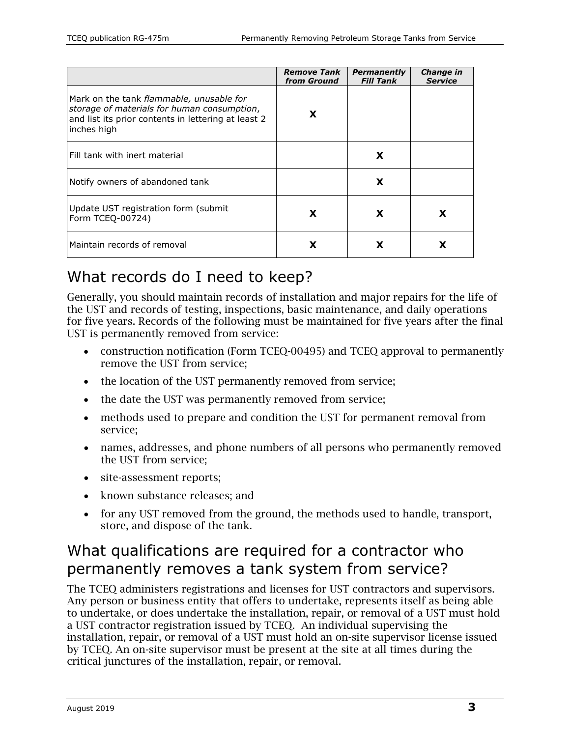|                                                                                                                                                               | <b>Remove Tank</b><br>from Ground | <b>Permanently</b><br><b>Fill Tank</b> | Change in<br><b>Service</b> |
|---------------------------------------------------------------------------------------------------------------------------------------------------------------|-----------------------------------|----------------------------------------|-----------------------------|
| Mark on the tank flammable, unusable for<br>storage of materials for human consumption,<br>and list its prior contents in lettering at least 2<br>inches high | X                                 |                                        |                             |
| Fill tank with inert material                                                                                                                                 |                                   | X                                      |                             |
| Notify owners of abandoned tank                                                                                                                               |                                   | X                                      |                             |
| Update UST registration form (submit)<br>Form TCEQ-00724)                                                                                                     | X                                 | X                                      |                             |
| Maintain records of removal                                                                                                                                   |                                   |                                        |                             |

## What records do I need to keep?

Generally, you should maintain records of installation and major repairs for the life of the UST and records of testing, inspections, basic maintenance, and daily operations for five years. Records of the following must be maintained for five years after the final UST is permanently removed from service:

- construction notification (Form TCEQ-00495) and TCEQ approval to permanently remove the UST from service;
- the location of the UST permanently removed from service;
- the date the UST was permanently removed from service;
- methods used to prepare and condition the UST for permanent removal from service;
- names, addresses, and phone numbers of all persons who permanently removed the UST from service;
- site-assessment reports;
- known substance releases; and
- for any UST removed from the ground, the methods used to handle, transport, store, and dispose of the tank.

#### What qualifications are required for a contractor who permanently removes a tank system from service?

The TCEQ administers registrations and licenses for UST contractors and supervisors. Any person or business entity that offers to undertake, represents itself as being able to undertake, or does undertake the installation, repair, or removal of a UST must hold a UST contractor registration issued by TCEQ. An individual supervising the installation, repair, or removal of a UST must hold an on-site supervisor license issued by TCEQ. An on-site supervisor must be present at the site at all times during the critical junctures of the installation, repair, or removal.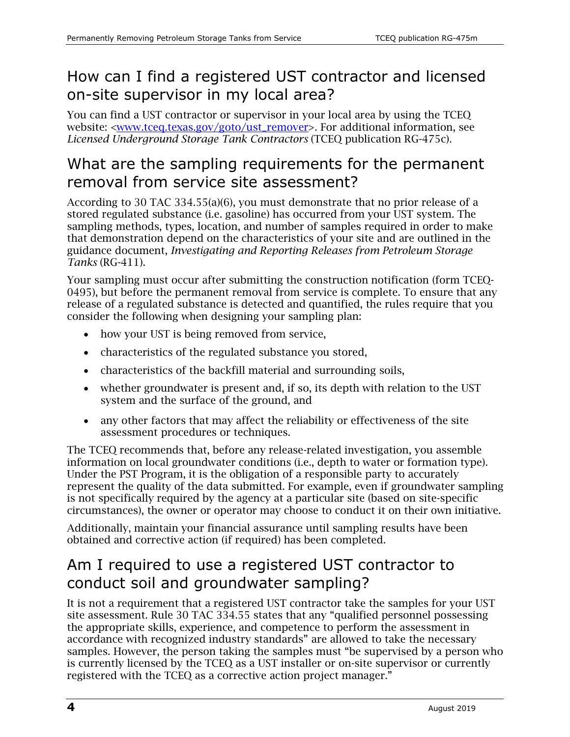## How can I find a registered UST contractor and licensed on-site supervisor in my local area?

You can find a UST contractor or supervisor in your local area by using the TCEQ website: [<www.tceq.texas.gov/goto/ust\\_remover>](http://www.tceq.texas.gov/goto/ust_remover). For additional information, see *Licensed Underground Storage Tank Contractors* (TCEQ publication RG-475c).

## What are the sampling requirements for the permanent removal from service site assessment?

According to 30 TAC 334.55(a)(6), you must demonstrate that no prior release of a stored regulated substance (i.e. gasoline) has occurred from your UST system. The sampling methods, types, location, and number of samples required in order to make that demonstration depend on the characteristics of your site and are outlined in the guidance document, *Investigating and Reporting Releases from Petroleum Storage Tanks* (RG-411).

Your sampling must occur after submitting the construction notification (form TCEQ-0495), but before the permanent removal from service is complete. To ensure that any release of a regulated substance is detected and quantified, the rules require that you consider the following when designing your sampling plan:

- how your UST is being removed from service,
- characteristics of the regulated substance you stored,
- characteristics of the backfill material and surrounding soils,
- whether groundwater is present and, if so, its depth with relation to the UST system and the surface of the ground, and
- any other factors that may affect the reliability or effectiveness of the site assessment procedures or techniques.

The TCEQ recommends that, before any release-related investigation, you assemble information on local groundwater conditions (i.e., depth to water or formation type). Under the PST Program, it is the obligation of a responsible party to accurately represent the quality of the data submitted. For example, even if groundwater sampling is not specifically required by the agency at a particular site (based on site-specific circumstances), the owner or operator may choose to conduct it on their own initiative.

Additionally, maintain your financial assurance until sampling results have been obtained and corrective action (if required) has been completed.

## Am I required to use a registered UST contractor to conduct soil and groundwater sampling?

It is not a requirement that a registered UST contractor take the samples for your UST site assessment. Rule 30 TAC 334.55 states that any "qualified personnel possessing the appropriate skills, experience, and competence to perform the assessment in accordance with recognized industry standards" are allowed to take the necessary samples. However, the person taking the samples must "be supervised by a person who is currently licensed by the TCEQ as a UST installer or on-site supervisor or currently registered with the TCEQ as a corrective action project manager."